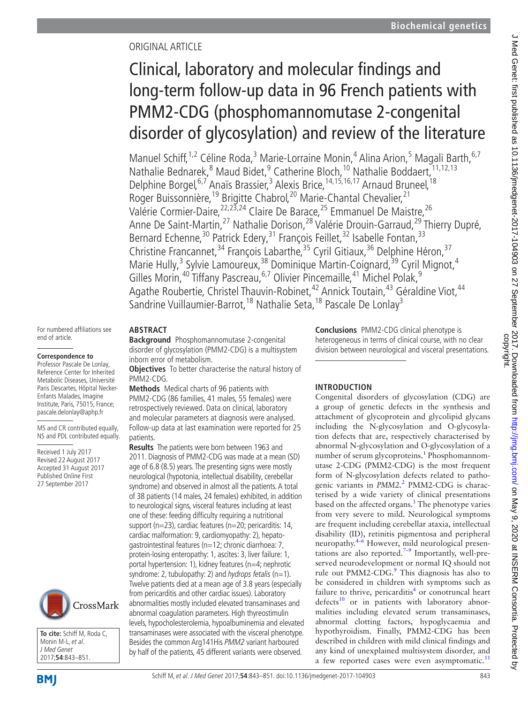# Original article

# Clinical, laboratory and molecular findings and long-term follow-up data in 96 French patients with PMM2-CDG (phosphomannomutase 2-congenital disorder of glycosylation) and review of the literature

Manuel Schiff,<sup>1,2</sup> Céline Roda,<sup>3</sup> Marie-Lorraine Monin,<sup>4</sup> Alina Arion,<sup>5</sup> Magali Barth,<sup>6,7</sup> Nathalie Bednarek, <sup>8</sup> Maud Bidet, <sup>9</sup> Catherine Bloch, <sup>10</sup> Nathalie Boddaert, <sup>11, 12, 13</sup> Delphine Borgel,<sup>6,7</sup> Anaïs Brassier,<sup>3</sup> Alexis Brice,<sup>14,15,16,17</sup> Arnaud Bruneel,<sup>18</sup> Roger Buissonnière,<sup>19</sup> Brigitte Chabrol,<sup>20</sup> Marie-Chantal Chevalier,<sup>21</sup> Valérie Cormier-Daire, <sup>22,23,24</sup> Claire De Barace, <sup>25</sup> Emmanuel De Maistre, <sup>26</sup> Anne De Saint-Martin,<sup>27</sup> Nathalie Dorison,<sup>28</sup> Valérie Drouin-Garraud,<sup>29</sup> Thierry Dupré, Bernard Echenne,<sup>30</sup> Patrick Edery,<sup>31</sup> François Feillet,<sup>32</sup> Isabelle Fontan,<sup>33</sup> Christine Francannet,  $34$  François Labarthe,  $35$  Cyril Gitiaux,  $36$  Delphine Héron,  $37$ Marie Hully,<sup>3</sup> Sylvie Lamoureux,<sup>38</sup> Dominique Martin-Coignard,<sup>39</sup> Cyril Mignot,<sup>4</sup> Gilles Morin,<sup>40</sup> Tiffany Pascreau,<sup>6,7</sup> Olivier Pincemaille,<sup>41</sup> Michel Polak,<sup>9</sup> Agathe Roubertie, Christel Thauvin-Robinet,<sup>42</sup> Annick Toutain,<sup>43</sup> Géraldine Viot,<sup>44</sup> Sandrine Vuillaumier-Barrot,<sup>18</sup> Nathalie Seta,<sup>18</sup> Pascale De Lonlay<sup>3</sup>

For numbered affiliations see end of article.

#### **Correspondence to**

Professor Pascale De Lonlay, Reference Center for Inherited Metabolic Diseases, Université Paris Descartes, Hôpital Necker-Enfants Malades, Imagine Institute, Paris, 75015, France; pascale.delonlay@aphp.fr

MS and CR contributed equally, NS and PDL contributed equally.

Received 1 July 2017 Revised 22 August 2017 Accepted 31 August 2017 Published Online First 27 September 2017



**To cite:** Schiff M, Roda C, Monin M-L, et al. J Med Genet 2017;**54**:843–851.

#### **Abstract**

**Background** Phosphomannomutase 2-congenital disorder of glycosylation (PMM2-CDG) is a multisystem inborn error of metabolism.

**Objectives** To better characterise the natural history of PMM2-CDG.

**Methods** Medical charts of 96 patients with PMM2-CDG (86 families, 41 males, 55 females) were retrospectively reviewed. Data on clinical, laboratory and molecular parameters at diagnosis were analysed. Follow-up data at last examination were reported for 25 patients.

**Results** The patients were born between 1963 and 2011. Diagnosis of PMM2-CDG was made at a mean (SD) age of 6.8 (8.5) years. The presenting signs were mostly neurological (hypotonia, intellectual disability, cerebellar syndrome) and observed in almost all the patients. A total of 38 patients (14 males, 24 females) exhibited, in addition to neurological signs, visceral features including at least one of these: feeding difficulty requiring a nutritional support (n=23), cardiac features (n=20; pericarditis: 14, cardiac malformation: 9, cardiomyopathy: 2), hepatogastrointestinal features (n=12; chronic diarrhoea: 7, protein-losing enteropathy: 1, ascites: 3, liver failure: 1, portal hypertension: 1), kidney features (n=4; nephrotic syndrome: 2, tubulopathy: 2) and *hydrops fetalis* ( $n=1$ ). Twelve patients died at a mean age of 3.8 years (especially from pericarditis and other cardiac issues). Laboratory abnormalities mostly included elevated transaminases and abnormal coagulation parameters. High thyreostimulin levels, hypocholesterolemia, hypoalbuminemia and elevated transaminases were associated with the visceral phenotype. Besides the common Arg141His PMM2 variant harboured by half of the patients, 45 different variants were observed.

**Conclusions** PMM2-CDG clinical phenotype is heterogeneous in terms of clinical course, with no clear division between neurological and visceral presentations.

### **Introduction**

Congenital disorders of glycosylation (CDG) are a group of genetic defects in the synthesis and attachment of glycoprotein and glycolipid glycans including the N-glycosylation and O-glycosylation defects that are, respectively characterised by abnormal N-glycosylation and O-glycosylation of a number of serum glycoproteins.<sup>[1](#page-7-0)</sup> Phosphomannomutase 2-CDG (PMM2-CDG) is the most frequent form of N-glycosylation defects related to pathogenic variants in *PMM[2](#page-7-1)*.<sup>2</sup> PMM2-CDG is characterised by a wide variety of clinical presentations based on the affected organs.<sup>[3](#page-7-2)</sup> The phenotype varies from very severe to mild. Neurological symptoms are frequent including cerebellar ataxia, intellectual disability (ID), retinitis pigmentosa and peripheral neuropathy.<sup>4–6</sup> However, mild neurological presentations are also reported. $7-9$  Importantly, well-preserved neurodevelopment or normal IQ should not rule out PMM2-CDG.<sup>9</sup> This diagnosis has also to be considered in children with symptoms such as failure to thrive, pericarditis<sup>[4](#page-7-3)</sup> or conotruncal heart defects<sup>10</sup> or in patients with laboratory abnormalities including elevated serum transaminases, abnormal clotting factors, hypoglycaemia and hypothyroidism. Finally, PMM2-CDG has been described in children with mild clinical findings and any kind of unexplained multisystem disorder, and a few reported cases were even asymptomatic.<sup>[11](#page-7-7)</sup>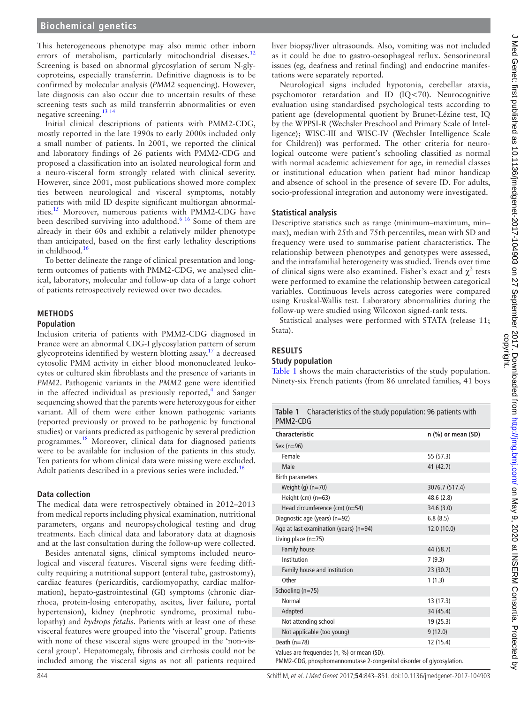This heterogeneous phenotype may also mimic other inborn errors of metabolism, particularly mitochondrial diseases.<sup>[12](#page-7-8)</sup> Screening is based on abnormal glycosylation of serum N-glycoproteins, especially transferrin. Definitive diagnosis is to be confirmed by molecular analysis (*PMM2* sequencing). However, late diagnosis can also occur due to uncertain results of these screening tests such as mild transferrin abnormalities or even negative screening.<sup>[13 14](#page-7-9)</sup>

Initial clinical descriptions of patients with PMM2-CDG, mostly reported in the late 1990s to early 2000s included only a small number of patients. In 2001, we reported the clinical and laboratory findings of 26 patients with PMM2-CDG and proposed a classification into an isolated neurological form and a neuro-visceral form strongly related with clinical severity. However, since 2001, most publications showed more complex ties between neurological and visceral symptoms, notably patients with mild ID despite significant multiorgan abnormalities.<sup>15</sup> Moreover, numerous patients with PMM2-CDG have been described surviving into adulthood.<sup>6 16</sup> Some of them are already in their 60s and exhibit a relatively milder phenotype than anticipated, based on the first early lethality descriptions in childhood.<sup>[16](#page-7-12)</sup>

To better delineate the range of clinical presentation and longterm outcomes of patients with PMM2-CDG, we analysed clinical, laboratory, molecular and follow-up data of a large cohort of patients retrospectively reviewed over two decades.

#### **Methods**

#### **Population**

Inclusion criteria of patients with PMM2-CDG diagnosed in France were an abnormal CDG-I glycosylation pattern of serum glycoproteins identified by western blotting assay, $17$  a decreased cytosolic PMM activity in either blood mononucleated leukocytes or cultured skin fibroblasts and the presence of variants in *PMM2*. Pathogenic variants in the *PMM2* gene were identified in the affected individual as previously reported,<sup>[4](#page-7-3)</sup> and Sanger sequencing showed that the parents were heterozygous for either variant. All of them were either known pathogenic variants (reported previously or proved to be pathogenic by functional studies) or variants predicted as pathogenic by several prediction programmes.[18](#page-8-1) Moreover, clinical data for diagnosed patients were to be available for inclusion of the patients in this study. Ten patients for whom clinical data were missing were excluded. Adult patients described in a previous series were included.<sup>[16](#page-7-12)</sup>

#### **Data collection**

The medical data were retrospectively obtained in 2012–2013 from medical reports including physical examination, nutritional parameters, organs and neuropsychological testing and drug treatments. Each clinical data and laboratory data at diagnosis and at the last consultation during the follow-up were collected.

Besides antenatal signs, clinical symptoms included neurological and visceral features. Visceral signs were feeding difficulty requiring a nutritional support (enteral tube, gastrostomy), cardiac features (pericarditis, cardiomyopathy, cardiac malformation), hepato-gastrointestinal (GI) symptoms (chronic diarrhoea, protein-losing enteropathy, ascites, liver failure, portal hypertension), kidney (nephrotic syndrome, proximal tubulopathy) and *hydrops fetalis*. Patients with at least one of these visceral features were grouped into the 'visceral' group. Patients with none of these visceral signs were grouped in the 'non-visceral group'. Hepatomegaly, fibrosis and cirrhosis could not be included among the visceral signs as not all patients required liver biopsy/liver ultrasounds. Also, vomiting was not included as it could be due to gastro-oesophageal reflux. Sensorineural issues (eg, deafness and retinal finding) and endocrine manifestations were separately reported.

Neurological signs included hypotonia, cerebellar ataxia, psychomotor retardation and ID (IQ<70). Neurocognitive evaluation using standardised psychological tests according to patient age (developmental quotient by Brunet-Lézine test, IQ by the WPPSI-R (Wechsler Preschool and Primary Scale of Intelligence); WISC-III and WISC-IV (Wechsler Intelligence Scale for Children)) was performed. The other criteria for neurological outcome were patient's schooling classified as normal with normal academic achievement for age, in remedial classes or institutional education when patient had minor handicap and absence of school in the presence of severe ID. For adults, socio-professional integration and autonomy were investigated.

#### **Statistical analysis**

Descriptive statistics such as range (minimum–maximum, min– max), median with 25th and 75th percentiles, mean with SD and frequency were used to summarise patient characteristics. The relationship between phenotypes and genotypes were assessed, and the intrafamilial heterogeneity was studied. Trends over time of clinical signs were also examined. Fisher's exact and  $\chi^2$  tests were performed to examine the relationship between categorical variables. Continuous levels across categories were compared using Kruskal-Wallis test. Laboratory abnormalities during the follow-up were studied using Wilcoxon signed-rank tests.

Statistical analyses were performed with STATA (release 11; Stata).

# **Results**

## **Study population**

[Table](#page-1-0) 1 shows the main characteristics of the study population. Ninety-six French patients (from 86 unrelated families, 41 boys

<span id="page-1-0"></span>

| <b>Table 1</b> Characteristics of the study population: 96 patients with<br>PMM2-CDG |                      |  |  |
|--------------------------------------------------------------------------------------|----------------------|--|--|
| Characteristic                                                                       | $n$ (%) or mean (SD) |  |  |
| Sex $(n=96)$                                                                         |                      |  |  |
| Female                                                                               | 55 (57.3)            |  |  |
| Male                                                                                 | 41 (42.7)            |  |  |
| <b>Birth parameters</b>                                                              |                      |  |  |
| Weight (g) $(n=70)$                                                                  | 3076.7 (517.4)       |  |  |
| Height (cm) (n=63)                                                                   | 48.6 (2.8)           |  |  |
| Head circumference (cm) (n=54)                                                       | 34.6(3.0)            |  |  |
| Diagnostic age (years) (n=92)                                                        | 6.8(8.5)             |  |  |
| Age at last examination (years) (n=94)                                               | 12.0 (10.0)          |  |  |
| Living place (n=75)                                                                  |                      |  |  |
| Family house                                                                         | 44 (58.7)            |  |  |
| Institution                                                                          | 7(9.3)               |  |  |
| Family house and institution                                                         | 23 (30.7)            |  |  |
| Other                                                                                | 1(1.3)               |  |  |
| Schooling (n=75)                                                                     |                      |  |  |
| Normal                                                                               | 13 (17.3)            |  |  |
| Adapted                                                                              | 34 (45.4)            |  |  |
| Not attending school                                                                 | 19 (25.3)            |  |  |
| Not applicable (too young)                                                           | 9(12.0)              |  |  |
| Death (n=78)                                                                         | 12 (15.4)            |  |  |
| Values are frequencies (n, %) or mean (SD).                                          |                      |  |  |

PMM2-CDG, phosphomannomutase 2-congenital disorder of glycosylation.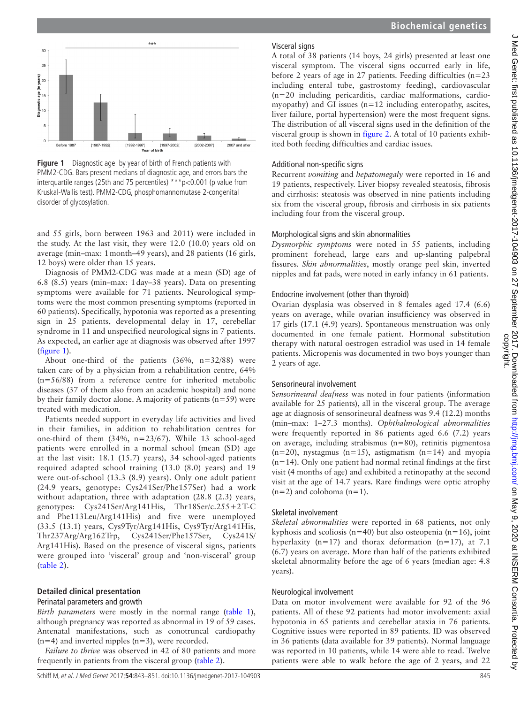

<span id="page-2-0"></span>**Figure 1** Diagnostic age by year of birth of French patients with PMM2-CDG. Bars present medians of diagnostic age, and errors bars the interquartile ranges (25th and 75 percentiles) \*\*\*p<0.001 (p value from Kruskal-Wallis test). PMM2-CDG, phosphomannomutase 2-congenital disorder of glycosylation.

and 55 girls, born between 1963 and 2011) were included in the study. At the last visit, they were 12.0 (10.0) years old on average (min–max: 1month–49 years), and 28 patients (16 girls, 12 boys) were older than 15 years.

Diagnosis of PMM2-CDG was made at a mean (SD) age of 6.8 (8.5) years (min–max: 1day–38 years). Data on presenting symptoms were available for 71 patients. Neurological symptoms were the most common presenting symptoms (reported in 60 patients). Specifically, hypotonia was reported as a presenting sign in 25 patients, developmental delay in 17, cerebellar syndrome in 11 and unspecified neurological signs in 7 patients. As expected, an earlier age at diagnosis was observed after 1997 ([figure](#page-2-0) 1).

About one-third of the patients (36%, n=32/88) were taken care of by a physician from a rehabilitation centre, 64%  $(n=56/88)$  from a reference centre for inherited metabolic diseases (37 of them also from an academic hospital) and none by their family doctor alone. A majority of patients  $(n=59)$  were treated with medication.

Patients needed support in everyday life activities and lived in their families, in addition to rehabilitation centres for one-third of them (34%, n=23/67). While 13 school-aged patients were enrolled in a normal school (mean (SD) age at the last visit: 18.1 (15.7) years), 34 school-aged patients required adapted school training (13.0 (8.0) years) and 19 were out-of-school (13.3 (8.9) years). Only one adult patient (24.9 years, genotype: Cys241Ser/Phe157Ser) had a work without adaptation, three with adaptation (28.8 (2.3) years, genotypes: Cys241Ser/Arg141His, Thr18Ser/c.255+2T-C and Phe113Leu/Arg141His) and five were unemployed (33.5 (13.1) years, Cys9Tyr/Arg141His, Cys9Tyr/Arg141His, Thr237Arg/Arg162Trp, Cys241Ser/Phe157Ser, Cys241S/ Arg141His). Based on the presence of visceral signs, patients were grouped into 'visceral' group and 'non-visceral' group ([table](#page-3-0) 2).

#### **Detailed clinical presentation**

#### Perinatal parameters and growth

*Birth parameters* were mostly in the normal range [\(table](#page-1-0) 1), although pregnancy was reported as abnormal in 19 of 59 cases. Antenatal manifestations, such as conotruncal cardiopathy  $(n=4)$  and inverted nipples  $(n=3)$ , were recorded.

*Failure to thrive* was observed in 42 of 80 patients and more frequently in patients from the visceral group [\(table](#page-3-0) 2).

#### Visceral signs

A total of 38 patients (14 boys, 24 girls) presented at least one visceral symptom. The visceral signs occurred early in life, before 2 years of age in 27 patients. Feeding difficulties (n=23 including enteral tube, gastrostomy feeding), cardiovascular (n=20 including pericarditis, cardiac malformations, cardiomyopathy) and GI issues (n=12 including enteropathy, ascites, liver failure, portal hypertension) were the most frequent signs. The distribution of all visceral signs used in the definition of the visceral group is shown in [figure](#page-4-0) 2. A total of 10 patients exhibited both feeding difficulties and cardiac issues.

#### Additional non-specific signs

Recurrent *vomiting* and *hepatomegaly* were reported in 16 and 19 patients, respectively. Liver biopsy revealed steatosis, fibrosis and cirrhosis: steatosis was observed in nine patients including six from the visceral group, fibrosis and cirrhosis in six patients including four from the visceral group.

#### Morphological signs and skin abnormalities

*Dysmorphic symptoms* were noted in 55 patients, including prominent forehead, large ears and up-slanting palpebral fissures. *Skin abnormalities*, mostly orange peel skin, inverted nipples and fat pads, were noted in early infancy in 61 patients.

#### Endocrine involvement (other than thyroid)

Ovarian dysplasia was observed in 8 females aged 17.4 (6.6) years on average, while ovarian insufficiency was observed in 17 girls (17.1 (4.9) years). Spontaneous menstruation was only documented in one female patient. Hormonal substitution therapy with natural oestrogen estradiol was used in 14 female patients. Micropenis was documented in two boys younger than 2 years of age.

#### Sensorineural involvement

S*ensorineural deafness* was noted in four patients (information available for 25 patients), all in the visceral group. The average age at diagnosis of sensorineural deafness was 9.4 (12.2) months (min–max: 1–27.3 months). *Ophthalmological abnormalities* were frequently reported in 86 patients aged 6.6 (7.2) years on average, including strabismus (n=80), retinitis pigmentosa  $(n=20)$ , nystagmus  $(n=15)$ , astigmatism  $(n=14)$  and myopia  $(n=14)$ . Only one patient had normal retinal findings at the first visit (4 months of age) and exhibited a retinopathy at the second visit at the age of 14.7 years. Rare findings were optic atrophy  $(n=2)$  and coloboma  $(n=1)$ .

#### Skeletal involvement

*Skeletal abnormalities* were reported in 68 patients, not only kyphosis and scoliosis ( $n=40$ ) but also osteopenia ( $n=16$ ), joint hyperlaxity (n=17) and thorax deformation (n=17), at 7.1 (6.7) years on average. More than half of the patients exhibited skeletal abnormality before the age of 6 years (median age: 4.8 years).

#### Neurological involvement

Data on motor involvement were available for 92 of the 96 patients. All of these 92 patients had motor involvement: axial hypotonia in 65 patients and cerebellar ataxia in 76 patients. Cognitive issues were reported in 89 patients. ID was observed in 36 patients (data available for 39 patients). Normal language was reported in 10 patients, while 14 were able to read. Twelve patients were able to walk before the age of 2 years, and 22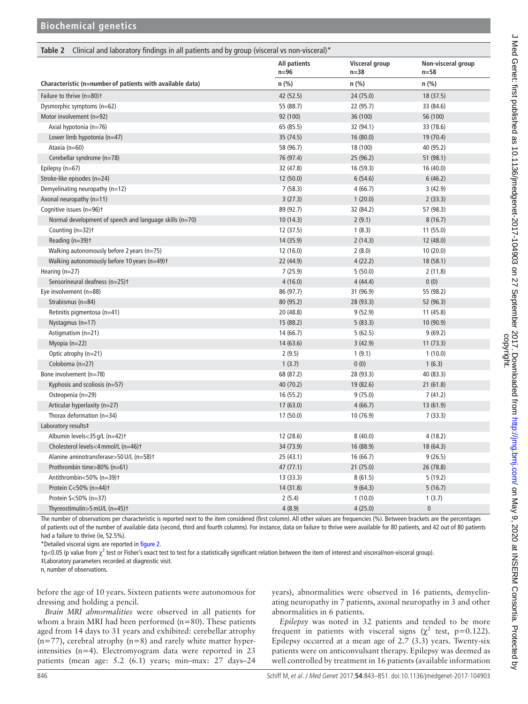<span id="page-3-0"></span>

| Clinical and laboratory findings in all patients and by group (visceral vs non-visceral)*<br>Table 2 |                        |                          |                              |  |
|------------------------------------------------------------------------------------------------------|------------------------|--------------------------|------------------------------|--|
|                                                                                                      | All patients<br>$n=96$ | Visceral group<br>$n=38$ | Non-visceral group<br>$n=58$ |  |
| Characteristic (n=number of patients with available data)                                            | n (%)                  | $n$ (%)                  | $n$ (%)                      |  |
| Failure to thrive $(n=80)$ <sup>+</sup>                                                              | 42 (52.5)              | 24 (75.0)                | 18 (37.5)                    |  |
| Dysmorphic symptoms (n=62)                                                                           | 55 (88.7)              | 22 (95.7)                | 33 (84.6)                    |  |
| Motor involvement (n=92)                                                                             | 92 (100)               | 36 (100)                 | 56 (100)                     |  |
| Axial hypotonia (n=76)                                                                               | 65 (85.5)              | 32 (94.1)                | 33 (78.6)                    |  |
| Lower limb hypotonia (n=47)                                                                          | 35 (74.5)              | 16 (80.0)                | 19 (70.4)                    |  |
| Ataxia (n=60)                                                                                        | 58 (96.7)              | 18 (100)                 | 40 (95.2)                    |  |
| Cerebellar syndrome (n=78)                                                                           | 76 (97.4)              | 25 (96.2)                | 51(98.1)                     |  |
| Epilepsy (n=67)                                                                                      | 32 (47.8)              | 16 (59.3)                | 16(40.0)                     |  |
| Stroke-like episodes (n=24)                                                                          | 12(50.0)               | 6(54.6)                  | 6(46.2)                      |  |
| Demyelinating neuropathy (n=12)                                                                      | 7(58.3)                | 4(66.7)                  | 3(42.9)                      |  |
| Axonal neuropathy (n=11)                                                                             | 3(27.3)                | 1(20.0)                  | 2(33.3)                      |  |
| Cognitive issues (n=96)t                                                                             | 89 (92.7)              | 32 (84.2)                | 57 (98.3)                    |  |
| Normal development of speech and language skills (n=70)                                              | 10(14.3)               | 2(9.1)                   | 8(16.7)                      |  |
| Counting (n=32) <sup>+</sup>                                                                         | 12 (37.5)              | 1(8.3)                   | 11 (55.0)                    |  |
| Reading (n=39)t                                                                                      | 14 (35.9)              | 2(14.3)                  | 12(48.0)                     |  |
| Walking autonomously before 2 years (n=75)                                                           | 12(16.0)               | 2(8.0)                   | 10(20.0)                     |  |
| Walking autonomously before 10 years (n=49)t                                                         | 22 (44.9)              | 4(22.2)                  | 18(58.1)                     |  |
| Hearing $(n=27)$                                                                                     | 7(25.9)                | 5(50.0)                  | 2(11.8)                      |  |
| Sensorineural deafness (n=25)t                                                                       | 4(16.0)                | 4(44.4)                  | 0(0)                         |  |
| Eye involvement (n=88)                                                                               | 86 (97.7)              | 31 (96.9)                | 55 (98.2)                    |  |
| Strabismus (n=84)                                                                                    | 80 (95.2)              | 28 (93.3)                | 52 (96.3)                    |  |
| Retinitis pigmentosa (n=41)                                                                          | 20 (48.8)              | 9(52.9)                  | 11(45.8)                     |  |
| Nystagmus (n=17)                                                                                     | 15 (88.2)              | 5(83.3)                  | 10 (90.9)                    |  |
| Astigmatism (n=21)                                                                                   | 14 (66.7)              | 5(62.5)                  | 9(69.2)                      |  |
| Myopia (n=22)                                                                                        | 14(63.6)               | 3(42.9)                  | 11(73.3)                     |  |
| Optic atrophy (n=21)                                                                                 | 2(9.5)                 | 1(9.1)                   | 1(10.0)                      |  |
| Coloboma (n=27)                                                                                      | 1(3.7)                 | 0(0)                     | 1(6.3)                       |  |
| Bone involvement (n=78)                                                                              | 68 (87.2)              | 28 (93.3)                | 40 (83.3)                    |  |
| Kyphosis and scoliosis (n=57)                                                                        | 40 (70.2)              | 19 (82.6)                | 21 (61.8)                    |  |
| Osteopenia (n=29)                                                                                    | 16 (55.2)              | 9(75.0)                  | 7(41.2)                      |  |
| Articular hyperlaxity (n=27)                                                                         | 17(63.0)               | 4(66.7)                  | 13(61.9)                     |  |
| Thorax deformation (n=34)                                                                            | 17 (50.0)              | 10 (76.9)                | 7(33.3)                      |  |
| Laboratory results‡                                                                                  |                        |                          |                              |  |
| Albumin levels<35 g/L (n=42)t                                                                        | 12 (28.6)              | 8(40.0)                  | 4(18.2)                      |  |
| Cholesterol levels<4 mmol/L (n=46)t                                                                  | 34 (73.9)              | 16 (88.9)                | 18 (64.3)                    |  |
| Alanine aminotransferase>50 U/L (n=58)+                                                              | 25 (43.1)              | 16(66.7)                 | 9(26.5)                      |  |
| Prothrombin time>80% (n=61)                                                                          | 47 (77.1)              | 21 (75.0)                | 26 (78.8)                    |  |
| Antithrombin<50% (n=39)t                                                                             | 13 (33.3)              | 8(61.5)                  | 5(19.2)                      |  |
| Protein C<50% (n=44)t                                                                                | 14(31.8)               | 9(64.3)                  | 5(16.7)                      |  |
| Protein S<50% (n=37)                                                                                 | 2(5.4)                 | 1(10.0)                  | 1(3.7)                       |  |
| Thyreostimulin>5 mU/L (n=45)t                                                                        | 4(8.9)                 | 4(25.0)                  | $\pmb{0}$                    |  |

The number of observations per characteristic is reported next to the item considered (first column). All other values are frequencies (%). Between brackets are the percentages of patients out of the number of available data (second, third and fourth columns). For instance, data on failure to thrive were available for 80 patients, and 42 out of 80 patients had a failure to thrive (ie, 52.5%).

\*Detailed visceral signs are reported in [figure 2](#page-4-0).

 $tp$ <0.05 (p value from  $\chi^2$  test or Fisher's exact test to test for a statistically significant relation between the item of interest and visceral/non-visceral group).

‡Laboratory parameters recorded at diagnostic visit.

n, number of observations.

before the age of 10 years. Sixteen patients were autonomous for dressing and holding a pencil.

*Brain MRI abnormalities* were observed in all patients for whom a brain MRI had been performed  $(n=80)$ . These patients aged from 14 days to 31 years and exhibited: cerebellar atrophy  $(n=77)$ , cerebral atrophy  $(n=8)$  and rarely white matter hyperintensities (n=4). Electromyogram data were reported in 23 patients (mean age: 5.2 (6.1) years; min–max: 27 days–24

years), abnormalities were observed in 16 patients, demyelinating neuropathy in 7 patients, axonal neuropathy in 3 and other abnormalities in 6 patients.

*Epilepsy* was noted in 32 patients and tended to be more frequent in patients with visceral signs ( $\chi^2$  test, p=0.122). Epilepsy occurred at a mean age of 2.7 (3.3) years. Twenty-six patients were on anticonvulsant therapy. Epilepsy was deemed as well controlled by treatment in 16 patients (available information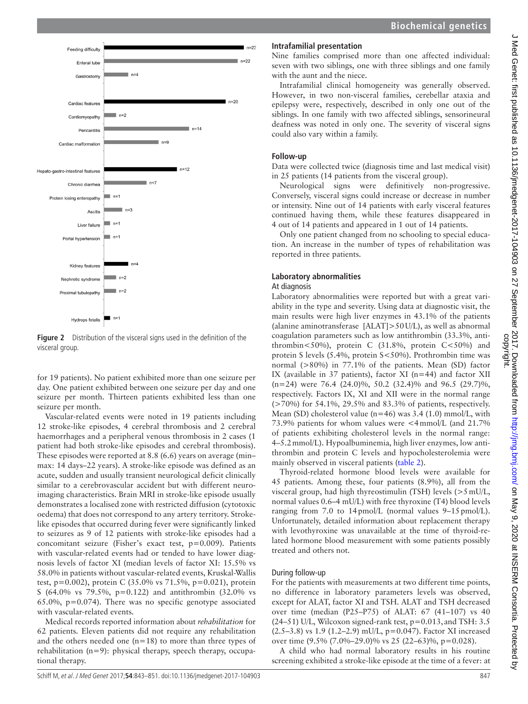

<span id="page-4-0"></span>**Figure 2** Distribution of the visceral signs used in the definition of the visceral group.

for 19 patients). No patient exhibited more than one seizure per day. One patient exhibited between one seizure per day and one seizure per month. Thirteen patients exhibited less than one seizure per month.

Vascular-related events were noted in 19 patients including 12 stroke-like episodes, 4 cerebral thrombosis and 2 cerebral haemorrhages and a peripheral venous thrombosis in 2 cases (1) patient had both stroke-like episodes and cerebral thrombosis). These episodes were reported at 8.8 (6.6) years on average (min– max: 14 days–22 years). A stroke-like episode was defined as an acute, sudden and usually transient neurological deficit clinically similar to a cerebrovascular accident but with different neuroimaging characteristics. Brain MRI in stroke-like episode usually demonstrates a localised zone with restricted diffusion (cytotoxic oedema) that does not correspond to any artery territory. Strokelike episodes that occurred during fever were significantly linked to seizures as 9 of 12 patients with stroke-like episodes had a concomitant seizure (Fisher's exact test, p=0.009). Patients with vascular-related events had or tended to have lower diagnosis levels of factor XI (median levels of factor XI: 15.5% vs 58.0% in patients without vascular-related events, Kruskal-Wallis test, p=0.002), protein C (35.0% vs 71.5%, p=0.021), protein S (64.0% vs 79.5%, p=0.122) and antithrombin (32.0% vs 65.0%, p=0.074). There was no specific genotype associated with vascular-related events.

Medical records reported information about *rehabilitation* for 62 patients. Eleven patients did not require any rehabilitation and the others needed one  $(n=18)$  to more than three types of rehabilitation (n=9): physical therapy, speech therapy, occupational therapy.

#### **Intrafamilial presentation**

Nine families comprised more than one affected individual: seven with two siblings, one with three siblings and one family with the aunt and the niece.

Intrafamilial clinical homogeneity was generally observed. However, in two non-visceral families, cerebellar ataxia and epilepsy were, respectively, described in only one out of the siblings. In one family with two affected siblings, sensorineural deafness was noted in only one. The severity of visceral signs could also vary within a family.

#### **Follow-up**

Data were collected twice (diagnosis time and last medical visit) in 25 patients (14 patients from the visceral group).

Neurological signs were definitively non-progressive. Conversely, visceral signs could increase or decrease in number or intensity. Nine out of 14 patients with early visceral features continued having them, while these features disappeared in 4 out of 14 patients and appeared in 1 out of 14 patients.

Only one patient changed from no schooling to special education. An increase in the number of types of rehabilitation was reported in three patients.

#### **Laboratory abnormalities**

#### At diagnosis

Laboratory abnormalities were reported but with a great variability in the type and severity. Using data at diagnostic visit, the main results were high liver enzymes in 43.1% of the patients (alanine aminotransferase [ALAT]>50U/L), as well as abnormal coagulation parameters such as low antithrombin (33.3%, antithrombin<50%), protein C  $(31.8\%$ , protein C<50%) and protein S levels (5.4%, protein S<50%). Prothrombin time was normal (>80%) in 77.1% of the patients. Mean (SD) factor IX (available in 37 patients), factor XI (n=44) and factor XII (n=24) were 76.4 (24.0)%, 50.2 (32.4)% and 96.5 (29.7)%, respectively. Factors IX, XI and XII were in the normal range (>70%) for 54.1%, 29.5% and 83.3% of patients, respectively. Mean (SD) cholesterol value (n=46) was 3.4 (1.0) mmol/L, with 73.9% patients for whom values were <4mmol/L (and 21.7% of patients exhibiting cholesterol levels in the normal range: 4–5.2mmol/L). Hypoalbuminemia, high liver enzymes, low antithrombin and protein C levels and hypocholesterolemia were mainly observed in visceral patients ([table](#page-3-0) 2).

Thyroid-related hormone blood levels were available for 45 patients. Among these, four patients (8.9%), all from the visceral group, had high thyreostimulin (TSH) levels (>5mU/L, normal values 0.6–4 mU/L) with free thyroxine (T4) blood levels ranging from 7.0 to 14  $pmol/L$  (normal values 9–15  $pmol/L$ ). Unfortunately, detailed information about replacement therapy with levothyroxine was unavailable at the time of thyroid-related hormone blood measurement with some patients possibly treated and others not.

#### During follow-up

For the patients with measurements at two different time points, no difference in laboratory parameters levels was observed, except for ALAT, factor XI and TSH. ALAT and TSH decreased over time (median (P25–P75) of ALAT: 67 (41–107) vs 40  $(24–51)$  U/L, Wilcoxon signed-rank test,  $p=0.013$ , and TSH: 3.5 (2.5–3.8) vs 1.9 (1.2–2.9) mU/L, p=0.047). Factor XI increased over time (9.5% (7.0%–29.0)% vs 25 (22–63)%, p=0.028).

A child who had normal laboratory results in his routine screening exhibited a stroke-like episode at the time of a fever: at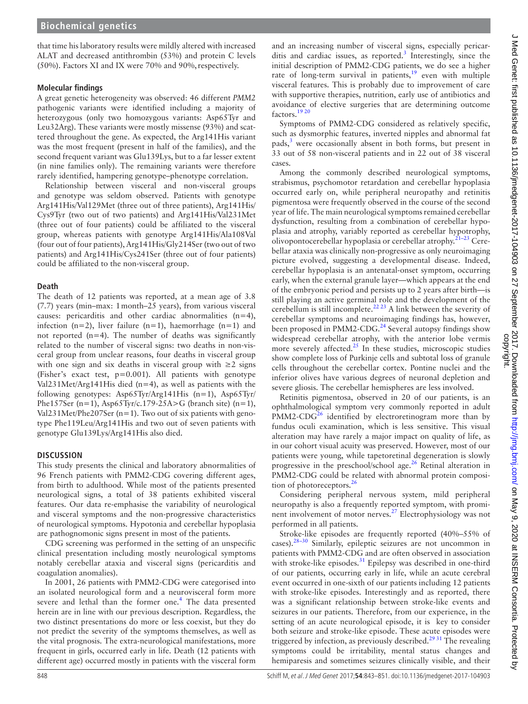that time his laboratory results were mildly altered with increased ALAT and decreased antithrombin (53%) and protein C levels (50%). Factors XI and IX were 70% and 90%, respectively.

#### **Molecular findings**

A great genetic heterogeneity was observed: 46 different *PMM2* pathogenic variants were identified including a majority of heterozygous (only two homozygous variants: Asp65Tyr and Leu32Arg). These variants were mostly missense (93%) and scattered throughout the gene. As expected, the Arg141His variant was the most frequent (present in half of the families), and the second frequent variant was Glu139Lys, but to a far lesser extent (in nine families only). The remaining variants were therefore rarely identified, hampering genotype–phenotype correlation.

Relationship between visceral and non-visceral groups and genotype was seldom observed. Patients with genotype Arg141His/Val129Met (three out of three patients), Arg141His/ Cys9Tyr (two out of two patients) and Arg141His/Val231Met (three out of four patients) could be affiliated to the visceral group, whereas patients with genotype Arg141His/Ala108Val (four out of four patients), Arg141His/Gly214Ser (two out of two patients) and Arg141His/Cys241Ser (three out of four patients) could be affiliated to the non-visceral group.

#### **Death**

The death of 12 patients was reported, at a mean age of 3.8 (7.7) years (min–max: 1month–25 years), from various visceral causes: pericarditis and other cardiac abnormalities (n=4), infection  $(n=2)$ , liver failure  $(n=1)$ , haemorrhage  $(n=1)$  and not reported (n=4). The number of deaths was significantly related to the number of visceral signs: two deaths in non-visceral group from unclear reasons, four deaths in visceral group with one sign and six deaths in visceral group with ≥2 signs (Fisher's exact test, p=0.001). All patients with genotype Val231Met/Arg141His died (n=4), as well as patients with the following genotypes: Asp65Tyr/Arg141His (n=1), Asp65Tyr/ Phe157Ser (n=1), Asp65Tyr/c.179-25A>G (branch site) (n=1), Val231Met/Phe207Ser (n=1). Two out of six patients with genotype Phe119Leu/Arg141His and two out of seven patients with genotype Glu139Lys/Arg141His also died.

#### **Discussion**

This study presents the clinical and laboratory abnormalities of 96 French patients with PMM2-CDG covering different ages, from birth to adulthood. While most of the patients presented neurological signs, a total of 38 patients exhibited visceral features. Our data re-emphasise the variability of neurological and visceral symptoms and the non-progressive characteristics of neurological symptoms. Hypotonia and cerebellar hypoplasia are pathognomonic signs present in most of the patients.

CDG screening was performed in the setting of an unspecific clinical presentation including mostly neurological symptoms notably cerebellar ataxia and visceral signs (pericarditis and coagulation anomalies).

In 2001, 26 patients with PMM2-CDG were categorised into an isolated neurological form and a neurovisceral form more severe and lethal than the former one.<sup>4</sup> The data presented herein are in line with our previous description. Regardless, the two distinct presentations do more or less coexist, but they do not predict the severity of the symptoms themselves, as well as the vital prognosis. The extra-neurological manifestations, more frequent in girls, occurred early in life. Death (12 patients with different age) occurred mostly in patients with the visceral form

and an increasing number of visceral signs, especially pericarditis and cardiac issues, as reported.<sup>3</sup> Interestingly, since the initial description of PMM2-CDG patients, we do see a higher rate of long-term survival in patients,<sup>[19](#page-8-2)</sup> even with multiple visceral features. This is probably due to improvement of care with supportive therapies, nutrition, early use of antibiotics and avoidance of elective surgeries that are determining outcome factors.[19 20](#page-8-2)

Symptoms of PMM2-CDG considered as relatively specific, such as dysmorphic features, inverted nipples and abnormal fat pads,<sup>[3](#page-7-2)</sup> were occasionally absent in both forms, but present in 33 out of 58 non-visceral patients and in 22 out of 38 visceral cases.

Among the commonly described neurological symptoms, strabismus, psychomotor retardation and cerebellar hypoplasia occurred early on, while peripheral neuropathy and retinitis pigmentosa were frequently observed in the course of the second year of life. The main neurological symptoms remained cerebellar dysfunction, resulting from a combination of cerebellar hypoplasia and atrophy, variably reported as cerebellar hypotrophy, olivopontocerebellar hypoplasia or cerebellar atrophy.<sup>21-23</sup> Cerebellar ataxia was clinically non-progressive as only neuroimaging picture evolved, suggesting a developmental disease. Indeed, cerebellar hypoplasia is an antenatal-onset symptom, occurring early, when the external granule layer—which appears at the end of the embryonic period and persists up to 2 years after birth—is still playing an active germinal role and the development of the cerebellum is still incomplete[.22 23](#page-8-4) A link between the severity of cerebellar symptoms and neuroimaging findings has, however, been proposed in PMM2-CDG.<sup>24</sup> Several autopsy findings show widespread cerebellar atrophy, with the anterior lobe vermis more severely affected. $25$  In these studies, microscopic studies show complete loss of Purkinje cells and subtotal loss of granule cells throughout the cerebellar cortex. Pontine nuclei and the inferior olives have various degrees of neuronal depletion and severe gliosis. The cerebellar hemispheres are less involved.

Retinitis pigmentosa, observed in 20 of our patients, is an ophthalmological symptom very commonly reported in adult PMM2-CD $G^{26}$  $G^{26}$  $G^{26}$  identified by electroretinogram more than by fundus oculi examination, which is less sensitive. This visual alteration may have rarely a major impact on quality of life, as in our cohort visual acuity was preserved. However, most of our patients were young, while tapetoretinal degeneration is slowly progressive in the preschool/school age. $^{26}$  Retinal alteration in PMM2-CDG could be related with abnormal protein composi-tion of photoreceptors.<sup>[26](#page-8-7)</sup>

Considering peripheral nervous system, mild peripheral neuropathy is also a frequently reported symptom, with promi-nent involvement of motor nerves.<sup>[27](#page-8-8)</sup> Electrophysiology was not performed in all patients.

Stroke-like episodes are frequently reported (40%–55% of cases)[.28–30](#page-8-9) Similarly, epileptic seizures are not uncommon in patients with PMM2-CDG and are often observed in association with stroke-like episodes.<sup>[31](#page-8-10)</sup> Epilepsy was described in one-third of our patients, occurring early in life, while an acute cerebral event occurred in one-sixth of our patients including 12 patients with stroke-like episodes. Interestingly and as reported, there was a significant relationship between stroke-like events and seizures in our patients. Therefore, from our experience, in the setting of an acute neurological episode, it is key to consider both seizure and stroke-like episode. These acute episodes were triggered by infection, as previously described.<sup>29 31</sup> The revealing symptoms could be irritability, mental status changes and hemiparesis and sometimes seizures clinically visible, and their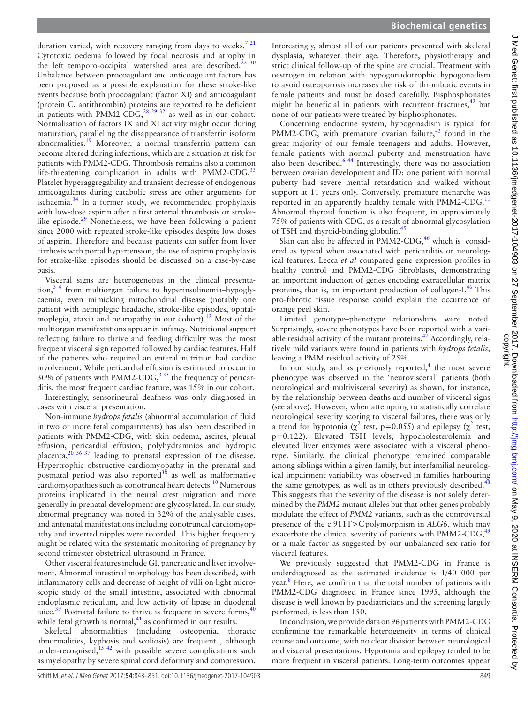duration varied, with recovery ranging from days to weeks.<sup>721</sup> Cytotoxic oedema followed by focal necrosis and atrophy in the left temporo-occipital watershed area are described.<sup>2</sup> Unbalance between procoagulant and anticoagulant factors has been proposed as a possible explanation for these stroke-like events because both procoagulant (factor XI) and anticoagulant (protein C, antithrombin) proteins are reported to be deficient in patients with PMM2-CDG,  $^{28}$   $^{29}$   $^{32}$  as well as in our cohort. Normalisation of factors IX and XI activity might occur during maturation, paralleling the disappearance of transferrin isoform abnormalities.<sup>[19](#page-8-2)</sup> Moreover, a normal transferrin pattern can become altered during infections, which are a situation at risk for patients with PMM2-CDG. Thrombosis remains also a common life-threatening complication in adults with PMM2-CDG.<sup>[33](#page-8-12)</sup> Platelet hyperaggregability and transient decrease of endogenous anticoagulants during catabolic stress are other arguments for ischaemia. $34$  In a former study, we recommended prophylaxis with low-dose aspirin after a first arterial thrombosis or strokelike episode. $29$  Nonetheless, we have been following a patient since 2000 with repeated stroke-like episodes despite low doses of aspirin. Therefore and because patients can suffer from liver cirrhosis with portal hypertension, the use of aspirin prophylaxis for stroke-like episodes should be discussed on a case-by-case basis.

Visceral signs are heterogeneous in the clinical presenta- $\[\text{tion}\xspace^3$ <sup>4</sup> from multiorgan failure to hyperinsulinemia–hypoglycaemia, even mimicking mitochondrial disease (notably one patient with hemiplegic headache, stroke-like episodes, ophtalmoplegia, ataxia and neuropathy in our cohort).<sup>12</sup> Most of the multiorgan manifestations appear in infancy. Nutritional support reflecting failure to thrive and feeding difficulty was the most frequent visceral sign reported followed by cardiac features. Half of the patients who required an enteral nutrition had cardiac involvement. While pericardial effusion is estimated to occur in 30% of patients with PMM2-CDG, $335$  the frequency of pericarditis, the most frequent cardiac feature, was 15% in our cohort.

Interestingly, sensorineural deafness was only diagnosed in cases with visceral presentation.

Non-immune *hydrops fetalis* (abnormal accumulation of fluid in two or more fetal compartments) has also been described in patients with PMM2-CDG, with skin oedema, ascites, pleural effusion, pericardial effusion, polyhydramnios and hydropic placenta,  $20\frac{36\frac{37}{2}}{2}$  leading to prenatal expression of the disease. Hypertrophic obstructive cardiomyopathy in the prenatal and postnatal period was also reported $3\overline{8}$  as well as malformative cardiomyopathies such as conotruncal heart defects.<sup>[10](#page-7-6)</sup> Numerous proteins implicated in the neural crest migration and more generally in prenatal development are glycosylated. In our study, abnormal pregnancy was noted in 32% of the analysable cases, and antenatal manifestations including conotruncal cardiomyopathy and inverted nipples were recorded. This higher frequency might be related with the systematic monitoring of pregnancy by second trimester obstetrical ultrasound in France.

Other visceral features include GI, pancreatic and liver involvement. Abnormal intestinal morphology has been described, with inflammatory cells and decrease of height of villi on light microscopic study of the small intestine, associated with abnormal endoplasmic reticulum, and low activity of lipase in duodenal juice.<sup>39</sup> Postnatal failure to thrive is frequent in severe forms,  $40$ while fetal growth is normal, $^{41}$  $^{41}$  $^{41}$  as confirmed in our results.

Skeletal abnormalities (including osteopenia, thoracic abnormalities, kyphosis and scoliosis) are frequent , although under-recognised, $15$ <sup>42</sup> with possible severe complications such as myelopathy by severe spinal cord deformity and compression.

Interestingly, almost all of our patients presented with skeletal dysplasia, whatever their age. Therefore, physiotherapy and strict clinical follow-up of the spine are crucial. Treatment with oestrogen in relation with hypogonadotrophic hypogonadism to avoid osteoporosis increases the risk of thrombotic events in female patients and must be dosed carefully. Bisphosphonates might be beneficial in patients with recurrent fractures, $42$  but none of our patients were treated by bisphosphonates.

Concerning endocrine system, hypogonadism is typical for PMM2-CDG, with premature ovarian failure, $43$  found in the great majority of our female teenagers and adults. However, female patients with normal puberty and menstruation have also been described[.6 44](#page-7-11) Interestingly, there was no association between ovarian development and ID: one patient with normal puberty had severe mental retardation and walked without support at 11 years only. Conversely, premature menarche was reported in an apparently healthy female with PMM2-CDG.<sup>[11](#page-7-7)</sup> Abnormal thyroid function is also frequent, in approximately 75% of patients with CDG, as a result of abnormal glycosylation of TSH and thyroid-binding globulin.<sup>[45](#page-8-21)</sup>

Skin can also be affected in PMM2-CDG, $46$  which is considered as typical when associated with pericarditis or neurological features. Lecca *et al* compared gene expression profiles in healthy control and PMM2-CDG fibroblasts, demonstrating an important induction of genes encoding extracellular matrix proteins, that is, an important production of collagen-I.<sup>[46](#page-8-22)</sup> This pro-fibrotic tissue response could explain the occurrence of orange peel skin.

Limited genotype–phenotype relationships were noted. Surprisingly, severe phenotypes have been reported with a vari-able residual activity of the mutant proteins.<sup>[47](#page-8-23)</sup> Accordingly, relatively mild variants were found in patients with *hydrops fetalis*, leaving a PMM residual activity of 25%.

In our study, and as previously reported, $<sup>4</sup>$  $<sup>4</sup>$  $<sup>4</sup>$  the most severe</sup> phenotype was observed in the 'neurovisceral' patients (both neurological and multivisceral severity) as shown, for instance, by the relationship between deaths and number of visceral signs (see above). However, when attempting to statistically correlate neurological severity scoring to visceral failures, there was only a trend for hypotonia ( $\chi^2$  test, p=0.055) and epilepsy ( $\chi^2$  test, p=0.122). Elevated TSH levels, hypocholesterolemia and elevated liver enzymes were associated with a visceral phenotype. Similarly, the clinical phenotype remained comparable among siblings within a given family, but interfamilial neurological impairment variability was observed in families harbouring the same genotypes, as well as in others previously described.<sup>[48](#page-8-24)</sup> This suggests that the severity of the disease is not solely determined by the *PMM2* mutant alleles but that other genes probably modulate the effect of *PMM2* variants, such as the controversial presence of the c.911T>Cpolymorphism in *ALG6*, which may exacerbate the clinical severity of patients with PMM2-CDG, <sup>[49](#page-8-25)</sup> or a male factor as suggested by our unbalanced sex ratio for visceral features.

We previously suggested that PMM2-CDG in France is underdiagnosed as the estimated incidence is 1/40 000 per year.<sup>[8](#page-7-13)</sup> Here, we confirm that the total number of patients with PMM2-CDG diagnosed in France since 1995, although the disease is well known by paediatricians and the screening largely performed, is less than 150.

In conclusion, we provide data on 96 patients with PMM2-CDG confirming the remarkable heterogeneity in terms of clinical course and outcome, with no clear division between neurological and visceral presentations. Hypotonia and epilepsy tended to be more frequent in visceral patients. Long-term outcomes appear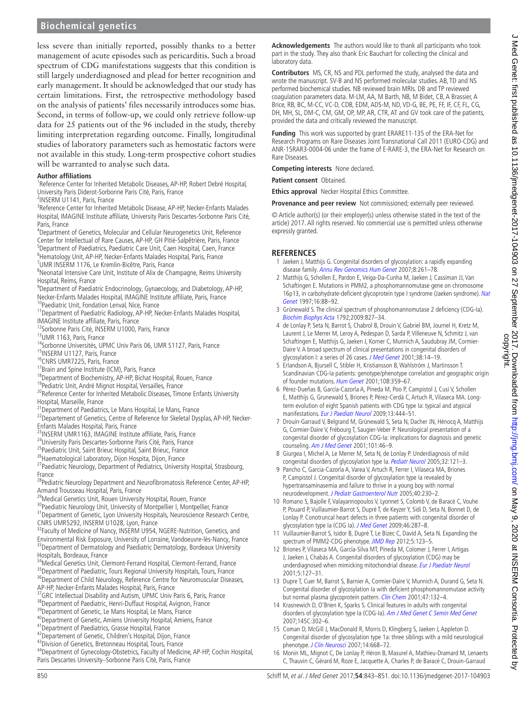#### **Biochemical genetics**

less severe than initially reported, possibly thanks to a better management of acute episodes such as pericarditis. Such a broad spectrum of CDG manifestations suggests that this condition is still largely underdiagnosed and plead for better recognition and early management. It should be acknowledged that our study has certain limitations. First, the retrospective methodology based on the analysis of patients' files necessarily introduces some bias. Second, in terms of follow-up, we could only retrieve follow-up data for 25 patients out of the 96 included in the study, thereby limiting interpretation regarding outcome. Finally, longitudinal studies of laboratory parameters such as hemostatic factors were not available in this study. Long-term prospective cohort studies will be warranted to analyse such data.

#### **Author affiliations**

<sup>1</sup>Reference Center for Inherited Metabolic Diseases, AP-HP, Robert Debré Hospital, University Paris Diderot-Sorbonne Paris Cité, Paris, France <sup>2</sup> <sup>2</sup>INSERM U1141, Paris, France

<sup>3</sup>Reference Center for Inherited Metabolic Disease, AP-HP, Necker-Enfants Malades Hospital, IMAGINE Institute affiliate, University Paris Descartes-Sorbonne Paris Cité, Paris, France

4 Department of Genetics, Molecular and Cellular Neurogenetics Unit, Reference Center for Intellectual of Rare Causes, AP-HP, GH Pitié-Salpêtrière, Paris, France <sup>5</sup> <sup>5</sup>Department of Paediatrics, Paediatric Care Unit, Caen Hospital, Caen, France <sup>6</sup>Hematology Unit, AP-HP, Necker-Enfants Malades Hospital, Paris, France

<sup>7</sup>UMR INSERM 1176, Le Kremlin-Bicêtre, Paris, France

Neonatal Intensive Care Unit, Institute of Alix de Champagne, Reims University Hospital, Reims, France <sup>9</sup>

<sup>9</sup>Department of Paediatric Endocrinology, Gynaecology, and Diabetology, AP-HP,

Necker-Enfants Malades Hospital, IMAGINE Institute affiliate, Paris, France<br><sup>10</sup>Paediatric Unit, Fondation Lenval, Nice, France<br><sup>11</sup>Department of Paediatric Radiology, AP-HP, Necker-Enfants Malades Hospital,<br>IMAGINE Instit

<sup>12</sup>Sorbonne Paris Cité, INSERM U1000, Paris, France<br><sup>13</sup>UMR 1163, Paris, France<br><sup>14</sup>Sorbonne Universités, UPMC Univ Paris 06, UMR 51127, Paris, France<br><sup>15</sup>INSERM U1127, Paris, France<br><sup>16</sup>NMS UMR7225, Paris, France<br><sup>17</sup>Br

Hospital, Marseille, France<br><sup>21</sup>Department of Paediatrics, Le Mans Hospital, Le Mans, France

<sup>22</sup>Departement of Genetics, Centre of Reference for Skeletal Dysplas, AP-HP, Necker-

Enfants Malades Hospital, Paris, France<br><sup>23</sup>INSERM UMR1163, IMAGINE Institute affiliate, Paris, France

<sup>24</sup>University Paris Descartes-Sorbonne Paris Cité, Paris, France<br><sup>25</sup>Paediatric Unit, Saint Brieuc Hospital, Saint Brieuc, France <sup>26</sup>Haematological Laboratory, Dijon Hospita, Dijon, France

<sup>27</sup>Paediatric Neurology, Department of Pediatrics, University Hospital, Strasbourg, France

<sup>28</sup>Pediatric Neurology Department and Neurofibromatosis Reference Center, AP-HP,<br>Armand Trousseau Hospital, Paris, France

<sup>29</sup>Medical Genetics Unit, Rouen University Hospital, Rouen, France<br><sup>30</sup>Paediatric Neurology Unit, University of Montpellier I, Montpellier, France<br><sup>31</sup>Department of Genetic, Lyon University Hospitals, Neuroscience Resear

<sup>32</sup>Faculty of Medicine of Nancy, INSERM U954, NGERE-Nutrition, Genetics, and Environmental Risk Exposure, University of Lorraine, Vandoeuvre-lès-Nancy, France<br><sup>33</sup>Department of Dermatology and Paediatric Dermatology, Bordeaux University

Hospitals, Bordeaux, France<br><sup>34</sup>Medical Genetics Unit, Clermont-Ferrand Hospital, Clermont-Ferrand, France

<sup>35</sup>Department of Paediatric, Tours Regional University Hospitals, Tours, France<br><sup>36</sup>Department of Child Neurology, Reference Centre for Neuromuscular Diseases,

AP-HP, Necker-Enfants Malades Hospital, Paris, France<br>
<sup>37</sup>GRC Intellectual Disability and Autism, UPMC Univ Paris 6, Paris, France<br>
<sup>38</sup>Department of Paediatric, Henri-Duffaut Hospital, Avignon, France<br>
<sup>39</sup>Department of

Paris Descartes University-Sorbonne Paris Cité, Paris, France

**Acknowledgements** The authors would like to thank all participants who took part in the study. They also thank Eric Bauchart for collecting the clinical and laboratory data.

**Contributors** MS, CR, NS and PDL performed the study, analysed the data and wrote the manuscript. SV-B and NS performed molecular studies. AB, TD and NS performed biochemical studies. NB reviewed brain MRIs. DB and TP reviewed coagulation parameters data. M-LM, AA, M Barth, NB, M Bidet, CB, A Brassier, A Brice, RB, BC, M-CC, VC-D, CDB, EDM, ADS-M, ND, VD-G, BE, PE, FF, IF, CF, FL, CG, DH, MH, SL, DM-C, CM, GM, OP, MP, AR, CTR, AT and GV took care of the patients, provided the data and critically reviewed the manuscript.

**Funding** This work was supported by grant ERARE11-135 of the ERA-Net for Research Programs on Rare Diseases Joint Transnational Call 2011 (EURO-CDG) and ANR-15RAR3-0004-06 under the frame of E-RARE-3, the ERA-Net for Research on Rare Diseases.

**Competing interests** None declared.

**Patient consent** Obtained.

**Ethics approval** Necker Hospital Ethics Committee.

**Provenance and peer review** Not commissioned; externally peer reviewed.

© Article author(s) (or their employer(s) unless otherwise stated in the text of the article) 2017. All rights reserved. No commercial use is permitted unless otherwise expressly granted.

#### **References**

- <span id="page-7-0"></span>1 Jaeken J, Matthijs G. Congenital disorders of glycosylation: a rapidly expanding disease family. [Annu Rev Genomics Hum Genet](http://dx.doi.org/10.1146/annurev.genom.8.080706.092327) 2007;8:261–78.
- <span id="page-7-1"></span>2 Matthijs G, Schollen E, Pardon E, Veiga-Da-Cunha M, Jaeken J, Cassiman JJ, Van Schaftingen E. Mutations in PMM2, a phosphomannomutase gene on chromosome 16p13, in carbohydrate-deficient glycoprotein type I syndrome (Jaeken syndrome). [Nat](http://dx.doi.org/10.1038/ng0597-88) [Genet](http://dx.doi.org/10.1038/ng0597-88) 1997;16:88–92.
- <span id="page-7-2"></span>3 Grünewald S. The clinical spectrum of phosphomannomutase 2 deficiency (CDG-Ia). Biochim Biophys Acta 1792;2009:827–34.
- <span id="page-7-3"></span>4 de Lonlay P, Seta N, Barrot S, Chabrol B, Drouin V, Gabriel BM, Journel H, Kretz M, Laurent J, Le Merrer M, Leroy A, Pedespan D, Sarda P, Villeneuve N, Schmitz J, van Schaftingen E, Matthijs G, Jaeken J, Korner C, Munnich A, Saudubray JM, Cormier-Daire V. A broad spectrum of clinical presentations in congenital disorders of glycosylation I: a series of 26 cases. [J Med Genet](http://dx.doi.org/10.1136/jmg.38.1.14) 2001;38:14-19.
- 5 Erlandson A, Bjursell C, Stibler H, Kristiansson B, Wahlström J, Martinsson T. Scandinavian CDG-Ia patients: genotype/phenotype correlation and geographic origin of founder mutations. [Hum Genet](http://dx.doi.org/10.1007/s004390100489) 2001;108:359-67.
- <span id="page-7-11"></span>6 Pérez-Dueñas B, García-Cazorla A, Pineda M, Poo P, Campistol J, Cusí V, Schollen E, Matthijs G, Grunewald S, Briones P, Pérez-Cerdá C, Artuch R, Vilaseca MA. Longterm evolution of eight Spanish patients with CDG type Ia: typical and atypical manifestations. [Eur J Paediatr Neurol](http://dx.doi.org/10.1016/j.ejpn.2008.09.002) 2009;13:444-51.
- <span id="page-7-4"></span>7 Drouin-Garraud V, Belgrand M, Grünewald S, Seta N, Dacher JN, Hénocq A, Matthijs G, Cormier-Daire V, Frébourg T, Saugier-Veber P. Neurological presentation of a congenital disorder of glycosylation CDG-Ia: implications for diagnosis and genetic counseling. [Am J Med Genet](http://dx.doi.org/10.1002/ajmg.1298) 2001;101:46-9.
- <span id="page-7-13"></span>8 Giurgea I, Michel A, Le Merrer M, Seta N, de Lonlay P. Underdiagnosis of mild congenital disorders of glycosylation type Ia. [Pediatr Neurol](http://dx.doi.org/10.1016/j.pediatrneurol.2004.06.021) 2005;32:121-3.
- <span id="page-7-5"></span>9 Pancho C, Garcia-Cazorla A, Varea V, Artuch R, Ferrer I, Vilaseca MA, Briones P, Campistol J. Congenital disorder of glycosylation type Ia revealed by hypertransaminasemia and failure to thrive in a young boy with normal neurodevelopment. [J Pediatr Gastroenterol Nutr](http://dx.doi.org/10.1097/00005176-200502000-00030) 2005;40:230–2.
- <span id="page-7-6"></span>10 Romano S, Bajolle F, Valayannopoulos V, Lyonnet S, Colomb V, de Baracé C, Vouhe P, Pouard P, Vuillaumier-Barrot S, Dupré T, de Keyzer Y, Sidi D, Seta N, Bonnet D, de Lonlay P. Conotruncal heart defects in three patients with congenital disorder of glycosylation type Ia (CDG Ia). [J Med Genet](http://dx.doi.org/10.1136/jmg.2008.057620) 2009;46:287-8.
- <span id="page-7-7"></span>11 Vuillaumier-Barrot S, Isidor B, Dupré T, Le Bizec C, David A, Seta N. Expanding the spectrum of PMM2-CDG phenotype. [JIMD Rep](http://dx.doi.org/10.1007/8904_2011_114) 2012;5:123-5.
- <span id="page-7-8"></span>12 Briones P, Vilaseca MA, García-Silva MT, Pineda M, Colomer J, Ferrer I, Artigas J, Jaeken J, Chabás A. Congenital disorders of glycosylation (CDG) may be underdiagnosed when mimicking mitochondrial disease. [Eur J Paediatr Neurol](http://dx.doi.org/10.1053/ejpn.2001.0483) 2001;5:127–31.
- <span id="page-7-9"></span>13 Dupre T, Cuer M, Barrot S, Barnier A, Cormier-Daire V, Munnich A, Durand G, Seta N. Congenital disorder of glycosylation Ia with deficient phosphomannomutase activity but normal plasma glycoprotein pattern. Clin Chem 2001;47:132-4.
- 14 Krasnewich D, O'Brien K, Sparks S. Clinical features in adults with congenital disorders of glycosylation type Ia (CDG-Ia). [Am J Med Genet C Semin Med Genet](http://dx.doi.org/10.1002/ajmg.c.30143) 2007;145C:302–6.
- <span id="page-7-10"></span>15 Coman D, McGill J, MacDonald R, Morris D, Klingberg S, Jaeken J, Appleton D. Congenital disorder of glycosylation type 1a: three siblings with a mild neurological phenotype. [J Clin Neurosci](http://dx.doi.org/10.1016/j.jocn.2006.04.008) 2007;14:668-72.
- <span id="page-7-12"></span>16 Monin ML, Mignot C, De Lonlay P, Héron B, Masurel A, Mathieu-Dramard M, Lenaerts C, Thauvin C, Gérard M, Roze E, Jacquette A, Charles P, de Baracé C, Drouin-Garraud